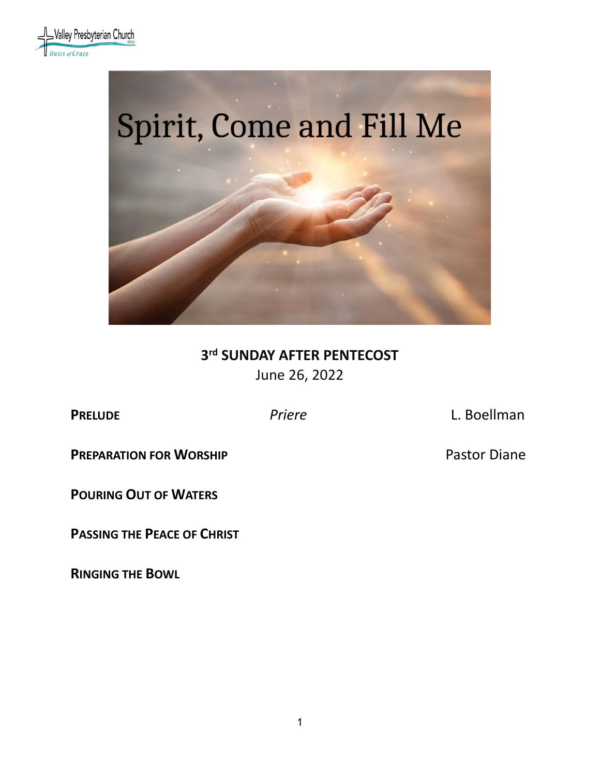



# **3rd SUNDAY AFTER PENTECOST** June 26, 2022

**PRELUDE** *Priere* L. Boellman

**PREPARATION FOR WORSHIP** *PREPARATION* FOR WORSHIP

**POURING OUT OF WATERS**

**PASSING THE PEACE OF CHRIST**

**RINGING THE BOWL**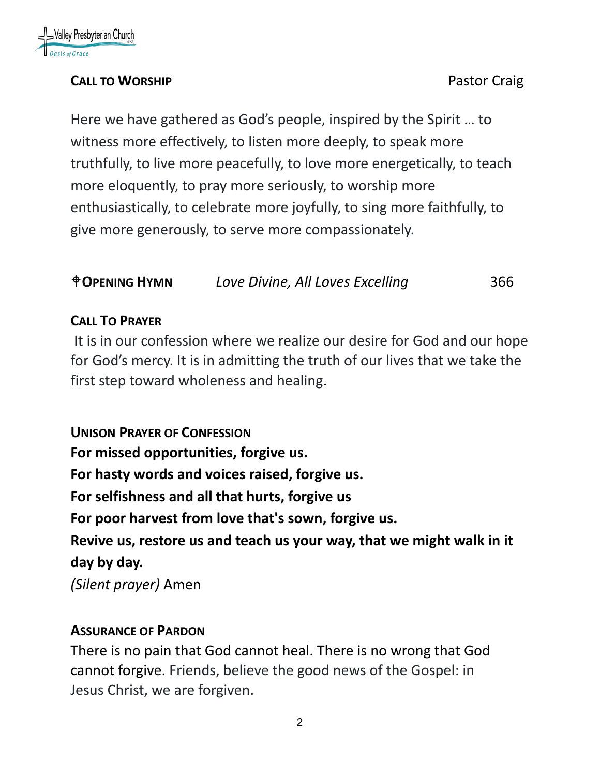

## **CALL TO WORSHIP CALL TO WORSHIP**

Here we have gathered as God's people, inspired by the Spirit … to witness more effectively, to listen more deeply, to speak more truthfully, to live more peacefully, to love more energetically, to teach more eloquently, to pray more seriously, to worship more enthusiastically, to celebrate more joyfully, to sing more faithfully, to give more generously, to serve more compassionately.

### **OPENING HYMN** *Love Divine, All Loves Excelling* 366

### **CALL TO PRAYER**

It is in our confession where we realize our desire for God and our hope for God's mercy. It is in admitting the truth of our lives that we take the first step toward wholeness and healing.

**UNISON PRAYER OF CONFESSION For missed opportunities, forgive us. For hasty words and voices raised, forgive us. For selfishness and all that hurts, forgive us For poor harvest from love that's sown, forgive us. Revive us, restore us and teach us your way, that we might walk in it day by day.**

*(Silent prayer)* Amen

#### **ASSURANCE OF PARDON**

There is no pain that God cannot heal. There is no wrong that God cannot forgive. Friends, believe the good news of the Gospel: in Jesus Christ, we are forgiven.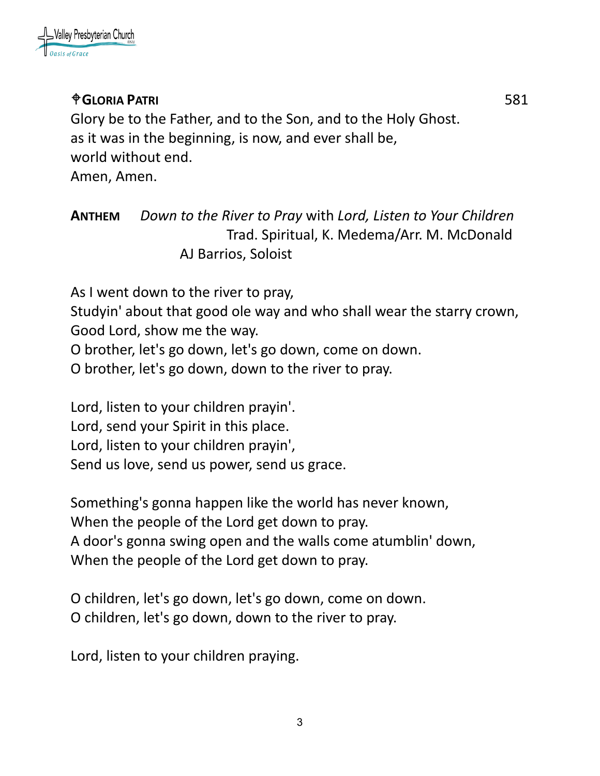

# **GLORIA PATRI** 581

Glory be to the Father, and to the Son, and to the Holy Ghost. as it was in the beginning, is now, and ever shall be, world without end. Amen, Amen.

# **ANTHEM** *Down to the River to Pray* with *Lord, Listen to Your Children* Trad. Spiritual, K. Medema/Arr. M. McDonald AJ Barrios, Soloist

As I went down to the river to pray,

Studyin' about that good ole way and who shall wear the starry crown, Good Lord, show me the way.

O brother, let's go down, let's go down, come on down.

O brother, let's go down, down to the river to pray.

Lord, listen to your children prayin'. Lord, send your Spirit in this place. Lord, listen to your children prayin', Send us love, send us power, send us grace.

Something's gonna happen like the world has never known, When the people of the Lord get down to pray. A door's gonna swing open and the walls come atumblin' down, When the people of the Lord get down to pray.

O children, let's go down, let's go down, come on down. O children, let's go down, down to the river to pray.

Lord, listen to your children praying.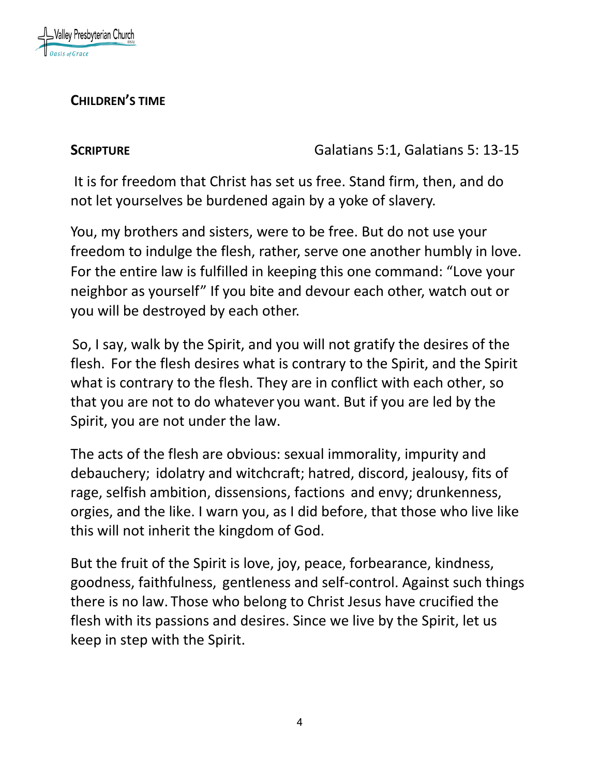

### **CHILDREN'S TIME**

**SCRIPTURE Galatians 5:1, Galatians 5:1, Galatians 5:13-15** 

It is for freedom that Christ has set us free. Stand firm, then, and do not let yourselves be burdened again by a yoke of slavery.

You, my brothers and sisters, were to be free. But do not use your freedom to indulge the flesh, rather, serve one another humbly in love. For the entire law is fulfilled in keeping this one command: "Love your neighbor as yourself" If you bite and devour each other, watch out or you will be destroyed by each other.

So, I say, walk by the Spirit, and you will not gratify the desires of the flesh. For the flesh desires what is contrary to the Spirit, and the Spirit what is contrary to the flesh. They are in conflict with each other, so that you are not to do whatever you want. But if you are led by the Spirit, you are not under the law.

The acts of the flesh are obvious: sexual immorality, impurity and debauchery; idolatry and witchcraft; hatred, discord, jealousy, fits of rage, selfish ambition, dissensions, factions and envy; drunkenness, orgies, and the like. I warn you, as I did before, that those who live like this will not inherit the kingdom of God.

But the fruit of the Spirit is love, joy, peace, forbearance, kindness, goodness, faithfulness, gentleness and self-control. Against such things there is no law. Those who belong to Christ Jesus have crucified the flesh with its passions and desires. Since we live by the Spirit, let us keep in step with the Spirit.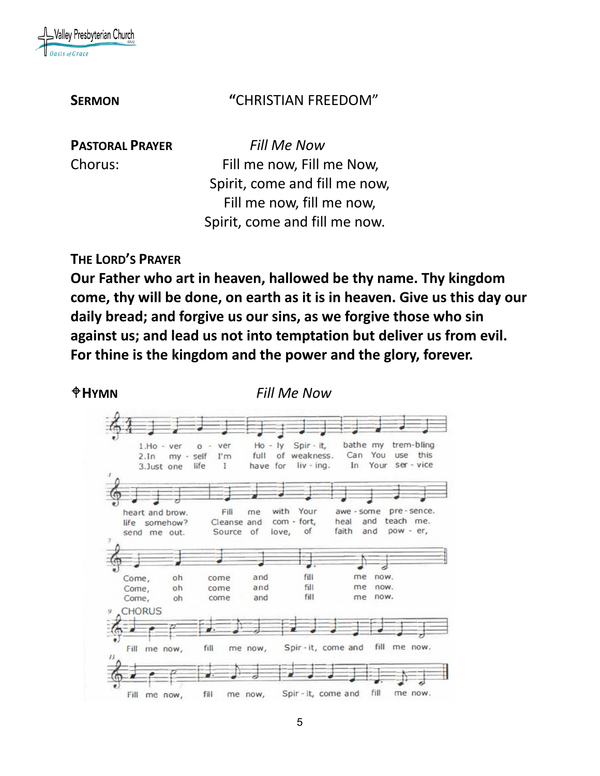

#### **SERMON "**CHRISTIAN FREEDOM"

**PASTORAL PRAYER** *Fill Me Now* Chorus: Fill me now, Fill me Now, Spirit, come and fill me now, Fill me now, fill me now, Spirit, come and fill me now.

#### **THE LORD'S PRAYER**

**Our Father who art in heaven, hallowed be thy name. Thy kingdom come, thy will be done, on earth as it is in heaven. Give us this day our daily bread; and forgive us our sins, as we forgive those who sin against us; and lead us not into temptation but deliver us from evil. For thine is the kingdom and the power and the glory, forever.**

**HYMN** *Fill Me Now* 

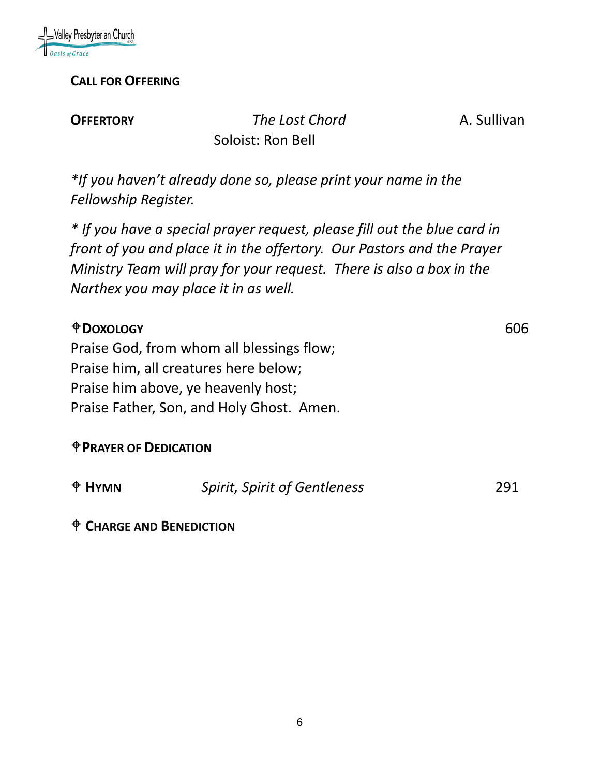

#### **CALL FOR OFFERING**

**OFFERTORY** *The Lost Chord* **A. Sullivan** Soloist: Ron Bell

*\*If you haven't already done so, please print your name in the Fellowship Register.*

*\* If you have a special prayer request, please fill out the blue card in front of you and place it in the offertory. Our Pastors and the Prayer Ministry Team will pray for your request. There is also a box in the Narthex you may place it in as well.*

| <b><i><u>ODOXOLOGY</u></i></b>            | 606 |
|-------------------------------------------|-----|
| Praise God, from whom all blessings flow; |     |
| Praise him, all creatures here below;     |     |
| Praise him above, ye heavenly host;       |     |
| Praise Father, Son, and Holy Ghost. Amen. |     |
|                                           |     |

# **PRAYER OF DEDICATION**

| $\triangle$ HYMN | <b>Spirit, Spirit of Gentleness</b> | 291 |
|------------------|-------------------------------------|-----|
|                  |                                     |     |

**CHARGE AND BENEDICTION**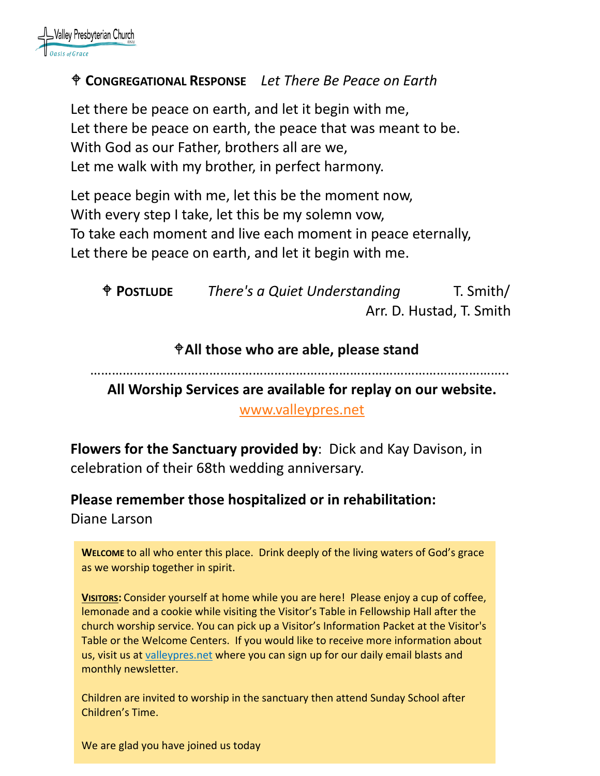

#### **CONGREGATIONAL RESPONSE** *Let There Be Peace on Earth*

Let there be peace on earth, and let it begin with me, Let there be peace on earth, the peace that was meant to be. With God as our Father, brothers all are we, Let me walk with my brother, in perfect harmony.

Let peace begin with me, let this be the moment now, With every step I take, let this be my solemn vow, To take each moment and live each moment in peace eternally, Let there be peace on earth, and let it begin with me.

 **POSTLUDE** *There's a Quiet Understanding* T. Smith/ Arr. D. Hustad, T. Smith

#### **All those who are able, please stand**

……………………………………………………………………………………………………..

**All Worship Services are available for replay on our website.** 

[www.valleypres.net](http://www.valleypres.net/)

**Flowers for the Sanctuary provided by**: Dick and Kay Davison, in celebration of their 68th wedding anniversary.

# **Please remember those hospitalized or in rehabilitation:**

Diane Larson

**WELCOME** to all who enter this place. Drink deeply of the living waters of God's grace as we worship together in spirit.

**VISITORS:** Consider yourself at home while you are here! Please enjoy a cup of coffee, lemonade and a cookie while visiting the Visitor's Table in Fellowship Hall after the church worship service. You can pick up a Visitor's Information Packet at the Visitor's Table or the Welcome Centers. If you would like to receive more information about us, visit us at [valleypres.net](http://valleypres.net/) where you can sign up for our daily email blasts and monthly newsletter.

Children are invited to worship in the sanctuary then attend Sunday School after Children's Time.

We are glad you have joined us today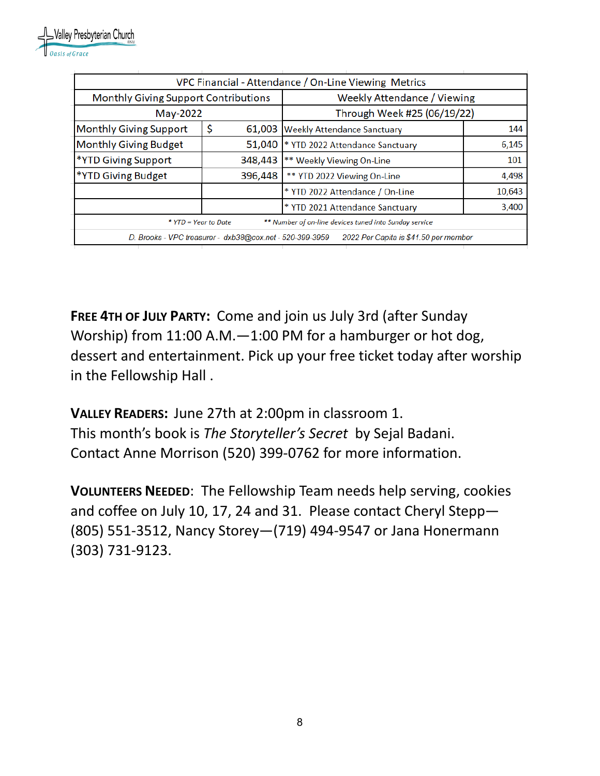| VPC Financial - Attendance / On-Line Viewing Metrics                                              |              |                                    |        |  |  |
|---------------------------------------------------------------------------------------------------|--------------|------------------------------------|--------|--|--|
| <b>Monthly Giving Support Contributions</b>                                                       |              | <b>Weekly Attendance / Viewing</b> |        |  |  |
| May-2022                                                                                          |              | Through Week #25 (06/19/22)        |        |  |  |
| <b>Monthly Giving Support</b>                                                                     | \$<br>61,003 | <b>Weekly Attendance Sanctuary</b> | 144    |  |  |
| <b>Monthly Giving Budget</b>                                                                      | 51,040       | * YTD 2022 Attendance Sanctuary    | 6,145  |  |  |
| *YTD Giving Support                                                                               | 348,443      | ** Weekly Viewing On-Line          | 101    |  |  |
| *YTD Giving Budget                                                                                | 396,448      | ** YTD 2022 Viewing On-Line        | 4,498  |  |  |
|                                                                                                   |              | * YTD 2022 Attendance / On-Line    | 10,643 |  |  |
|                                                                                                   |              | * YTD 2021 Attendance Sanctuary    | 3,400  |  |  |
| ** Number of on-line devices tuned into Sunday service<br>* YTD = Year to Date                    |              |                                    |        |  |  |
| 2022 Per Capita is \$41.50 per member<br>D. Brooks - VPC treasurer - dxb38@cox.net - 520-399-3959 |              |                                    |        |  |  |
|                                                                                                   |              |                                    |        |  |  |

**FREE 4TH OF JULY PARTY:** Come and join us July 3rd (after Sunday Worship) from 11:00 A.M.—1:00 PM for a hamburger or hot dog, dessert and entertainment. Pick up your free ticket today after worship in the Fellowship Hall .

**VALLEY READERS:** June 27th at 2:00pm in classroom 1. This month's book is *The Storyteller's Secret* by Sejal Badani. Contact Anne Morrison (520) 399-0762 for more information.

**VOLUNTEERS NEEDED**: The Fellowship Team needs help serving, cookies and coffee on July 10, 17, 24 and 31. Please contact Cheryl Stepp— (805) 551-3512, Nancy Storey—(719) 494-9547 or Jana Honermann (303) 731-9123.